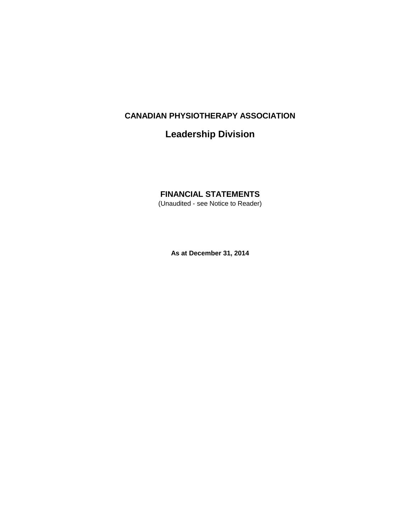# **Leadership Division**

# **FINANCIAL STATEMENTS**

(Unaudited - see Notice to Reader)

**As at December 31, 2014**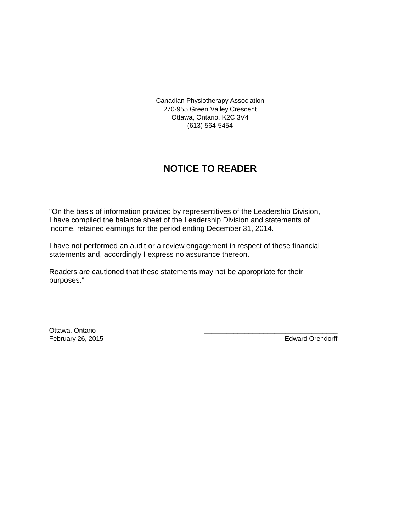Canadian Physiotherapy Association 270-955 Green Valley Crescent Ottawa, Ontario, K2C 3V4 (613) 564-5454

# **NOTICE TO READER**

"On the basis of information provided by representitives of the Leadership Division, I have compiled the balance sheet of the Leadership Division and statements of income, retained earnings for the period ending December 31, 2014.

I have not performed an audit or a review engagement in respect of these financial statements and, accordingly I express no assurance thereon.

Readers are cautioned that these statements may not be appropriate for their purposes."

Ottawa, Ontario \_\_\_\_\_\_\_\_\_\_\_\_\_\_\_\_\_\_\_\_\_\_\_\_\_\_\_\_\_\_\_\_\_\_\_\_ February 26, 2015 **Edward Orendorff**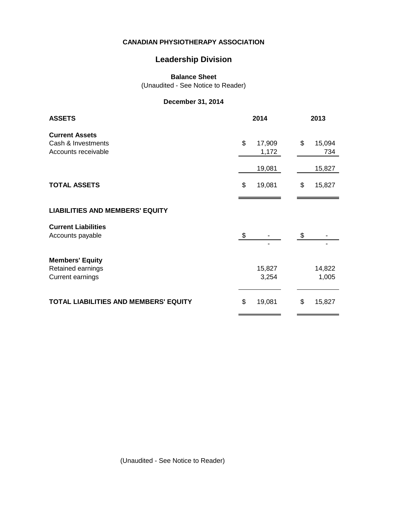## **Leadership Division**

**Balance Sheet**

(Unaudited - See Notice to Reader)

## **December 31, 2014**

| <b>ASSETS</b>                                                          | 2014 |                           | 2013 |                         |
|------------------------------------------------------------------------|------|---------------------------|------|-------------------------|
| <b>Current Assets</b><br>Cash & Investments<br>Accounts receivable     | \$   | 17,909<br>1,172<br>19,081 | \$   | 15,094<br>734<br>15,827 |
| <b>TOTAL ASSETS</b>                                                    | \$   | 19,081                    | \$   | 15,827                  |
| <b>LIABILITIES AND MEMBERS' EQUITY</b>                                 |      |                           |      |                         |
| <b>Current Liabilities</b><br>Accounts payable                         | \$   |                           | \$   |                         |
| <b>Members' Equity</b><br>Retained earnings<br><b>Current earnings</b> |      | 15,827<br>3,254           |      | 14,822<br>1,005         |
| TOTAL LIABILITIES AND MEMBERS' EQUITY                                  | \$   | 19,081                    | \$   | 15,827                  |

(Unaudited - See Notice to Reader)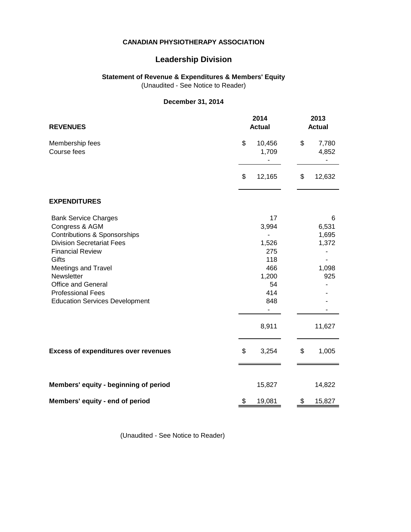## **Leadership Division**

### **Statement of Revenue & Expenditures & Members' Equity**

(Unaudited - See Notice to Reader)

### **December 31, 2014**

| 2014<br><b>REVENUES</b><br><b>Actual</b>                                                                                                                                                                                                                                                     |                                                                                 | 2013<br><b>Actual</b>                                  |  |
|----------------------------------------------------------------------------------------------------------------------------------------------------------------------------------------------------------------------------------------------------------------------------------------------|---------------------------------------------------------------------------------|--------------------------------------------------------|--|
| Membership fees<br>Course fees                                                                                                                                                                                                                                                               | \$<br>10,456<br>1,709                                                           | \$<br>7,780<br>4,852                                   |  |
|                                                                                                                                                                                                                                                                                              | \$<br>12,165                                                                    | \$<br>12,632                                           |  |
| <b>EXPENDITURES</b>                                                                                                                                                                                                                                                                          |                                                                                 |                                                        |  |
| <b>Bank Service Charges</b><br>Congress & AGM<br>Contributions & Sponsorships<br><b>Division Secretariat Fees</b><br><b>Financial Review</b><br>Gifts<br>Meetings and Travel<br>Newsletter<br><b>Office and General</b><br><b>Professional Fees</b><br><b>Education Services Development</b> | 17<br>3,994<br>1,526<br>275<br>118<br>466<br>1,200<br>54<br>414<br>848<br>8,911 | 6<br>6,531<br>1,695<br>1,372<br>1,098<br>925<br>11,627 |  |
| <b>Excess of expenditures over revenues</b>                                                                                                                                                                                                                                                  | \$<br>3,254                                                                     | \$<br>1,005                                            |  |
| Members' equity - beginning of period                                                                                                                                                                                                                                                        | 15,827                                                                          | 14,822                                                 |  |
| Members' equity - end of period                                                                                                                                                                                                                                                              | \$<br>19,081                                                                    | \$<br>15,827                                           |  |

(Unaudited - See Notice to Reader)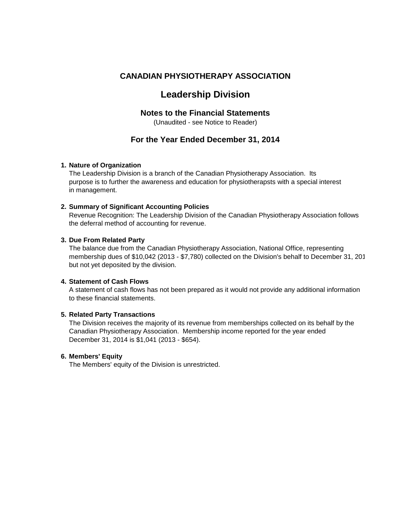# **Leadership Division**

### **Notes to the Financial Statements**

(Unaudited - see Notice to Reader)

## **For the Year Ended December 31, 2014**

#### **1. Nature of Organization**

The Leadership Division is a branch of the Canadian Physiotherapy Association. Its purpose is to further the awareness and education for physiotherapsts with a special interest in management.

#### **2. Summary of Significant Accounting Policies**

Revenue Recognition: The Leadership Division of the Canadian Physiotherapy Association follows the deferral method of accounting for revenue.

#### **3. Due From Related Party**

The balance due from the Canadian Physiotherapy Association, National Office, representing membership dues of \$10,042 (2013 - \$7,780) collected on the Division's behalf to December 31, 2014 but not yet deposited by the division.

### **4. Statement of Cash Flows**

A statement of cash flows has not been prepared as it would not provide any additional information to these financial statements.

#### **5. Related Party Transactions**

The Division receives the majority of its revenue from memberships collected on its behalf by the Canadian Physiotherapy Association. Membership income reported for the year ended December 31, 2014 is \$1,041 (2013 - \$654).

#### **6. Members' Equity**

The Members' equity of the Division is unrestricted.